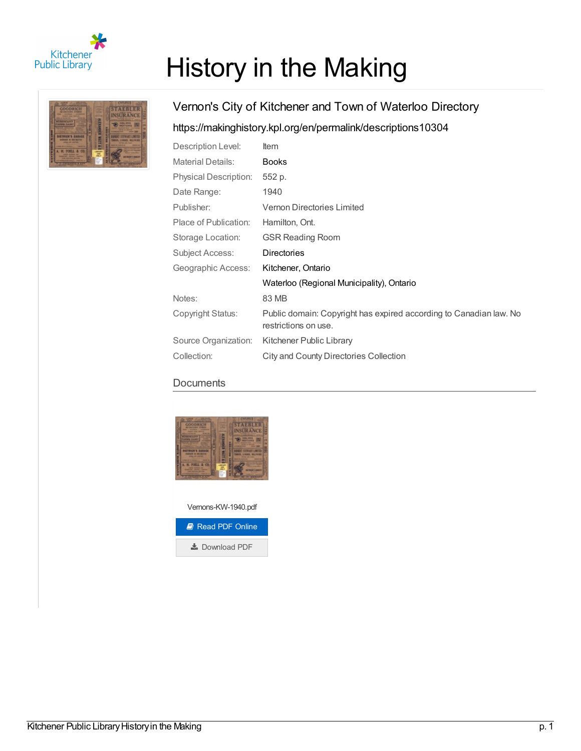

# History in the Making



# Vernon's City of Kitchener and Town of Waterloo Directory <https://makinghistory.kpl.org/en/permalink/descriptions10304>

| Description Level:           | <b>Item</b>                                                                                |
|------------------------------|--------------------------------------------------------------------------------------------|
| <b>Material Details:</b>     | <b>Books</b>                                                                               |
| <b>Physical Description:</b> | 552 p.                                                                                     |
| Date Range:                  | 1940                                                                                       |
| Publisher:                   | <b>Vernon Directories Limited</b>                                                          |
| Place of Publication:        | Hamilton, Ont.                                                                             |
| Storage Location:            | <b>GSR Reading Room</b>                                                                    |
| Subject Access:              | <b>Directories</b>                                                                         |
| Geographic Access:           | Kitchener, Ontario                                                                         |
|                              | Waterloo (Regional Municipality), Ontario                                                  |
| Notes:                       | 83 MB                                                                                      |
| Copyright Status:            | Public domain: Copyright has expired according to Canadian law. No<br>restrictions on use. |
| Source Organization:         | Kitchener Public Library                                                                   |
| Collection:                  | City and County Directories Collection                                                     |

### **Documents**



Vernons-KW-1940.pdf **B** Read PDF [Online](https://makinghistory.kpl.org/en/viewer?file=%252fmedia%252fDirectories%252fVernons-KW-1940.pdf#phrase=false&pagemode=bookmarks)

**L** [Download](https://makinghistory.kpl.org/media/Directories/Vernons-KW-1940.pdf) PDF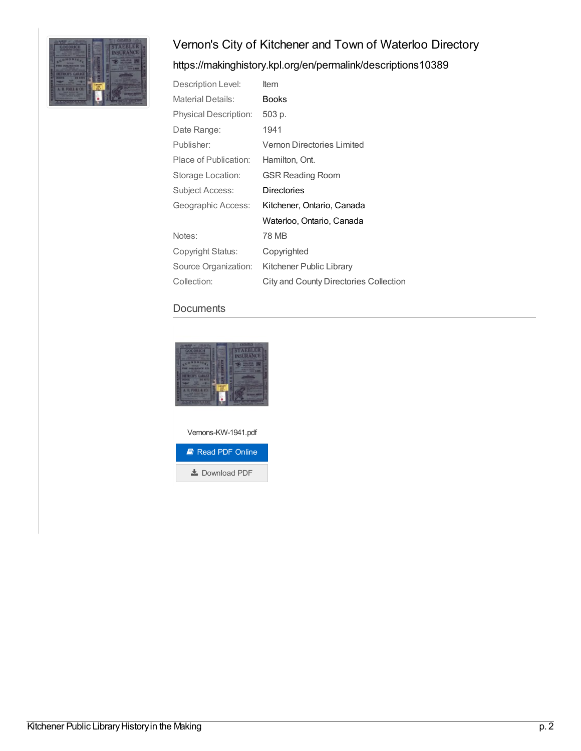

## <https://makinghistory.kpl.org/en/permalink/descriptions10389>

| Description Level:       | Item                                   |
|--------------------------|----------------------------------------|
| <b>Material Details:</b> | <b>Books</b>                           |
| Physical Description:    | 503 p.                                 |
| Date Range:              | 1941                                   |
| Publisher:               | Vernon Directories Limited             |
| Place of Publication:    | Hamilton, Ont.                         |
| Storage Location:        | <b>GSR Reading Room</b>                |
| <b>Subject Access:</b>   | Directories                            |
| Geographic Access:       | Kitchener, Ontario, Canada             |
|                          | Waterloo, Ontario, Canada              |
| Notes:                   | 78 MB                                  |
| Copyright Status:        | Copyrighted                            |
| Source Organization:     | Kitchener Public Library               |
| Collection:              | City and County Directories Collection |

#### **Documents**



Vernons-KW-1941.pdf

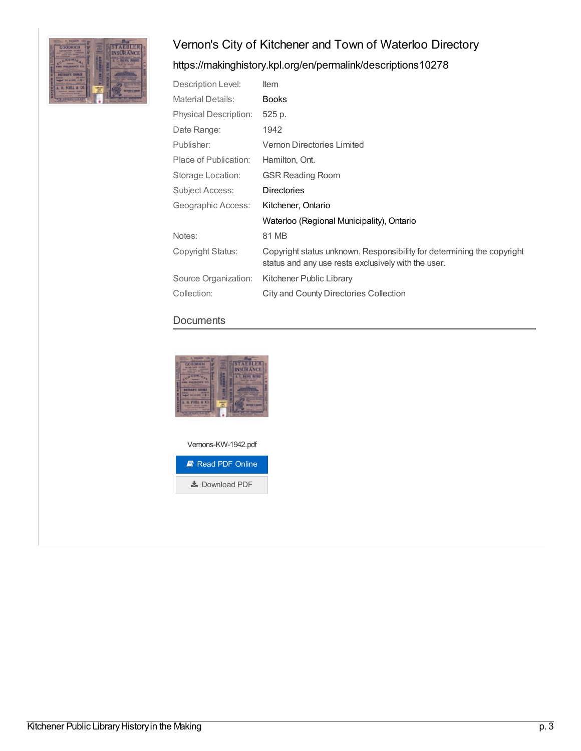

## <https://makinghistory.kpl.org/en/permalink/descriptions10278>

| Description Level:           | ltem                                                                                                                          |
|------------------------------|-------------------------------------------------------------------------------------------------------------------------------|
| <b>Material Details:</b>     | <b>Books</b>                                                                                                                  |
| <b>Physical Description:</b> | 525 p.                                                                                                                        |
| Date Range:                  | 1942                                                                                                                          |
| Publisher:                   | Vernon Directories Limited                                                                                                    |
| Place of Publication:        | Hamilton, Ont.                                                                                                                |
| Storage Location:            | <b>GSR Reading Room</b>                                                                                                       |
| Subject Access:              | <b>Directories</b>                                                                                                            |
| Geographic Access:           | Kitchener, Ontario                                                                                                            |
|                              | Waterloo (Regional Municipality), Ontario                                                                                     |
| Notes:                       | 81 MB                                                                                                                         |
| Copyright Status:            | Copyright status unknown. Responsibility for determining the copyright<br>status and any use rests exclusively with the user. |
| Source Organization:         | Kitchener Public Library                                                                                                      |
| Collection:                  | City and County Directories Collection                                                                                        |

#### **Documents**





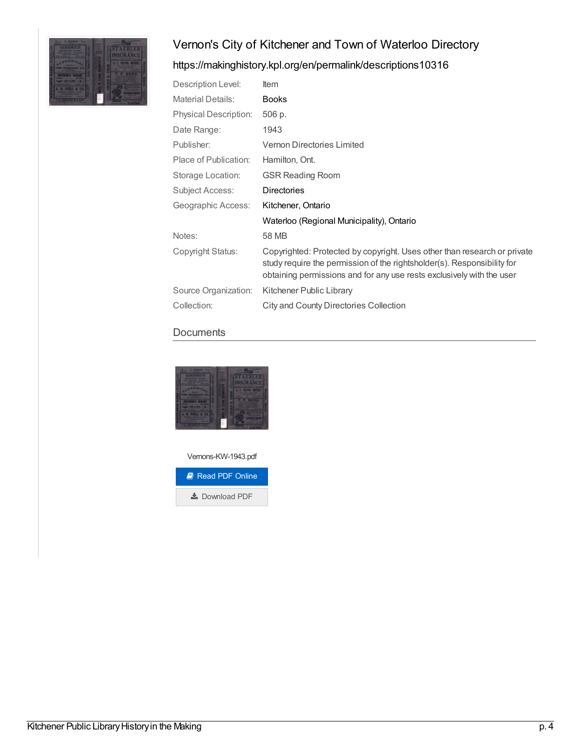

## <https://makinghistory.kpl.org/en/permalink/descriptions10316>

| Description Level:           | <b>Item</b>                                                                                                                                                                                                                  |
|------------------------------|------------------------------------------------------------------------------------------------------------------------------------------------------------------------------------------------------------------------------|
| <b>Material Details:</b>     | <b>Books</b>                                                                                                                                                                                                                 |
| <b>Physical Description:</b> | 506 p.                                                                                                                                                                                                                       |
| Date Range:                  | 1943                                                                                                                                                                                                                         |
| Publisher:                   | Vernon Directories Limited                                                                                                                                                                                                   |
| Place of Publication:        | Hamilton, Ont.                                                                                                                                                                                                               |
| Storage Location:            | <b>GSR Reading Room</b>                                                                                                                                                                                                      |
| Subject Access:              | <b>Directories</b>                                                                                                                                                                                                           |
| Geographic Access:           | Kitchener, Ontario                                                                                                                                                                                                           |
|                              | Waterloo (Regional Municipality), Ontario                                                                                                                                                                                    |
| Notes:                       | 58 MB                                                                                                                                                                                                                        |
| Copyright Status:            | Copyrighted: Protected by copyright. Uses other than research or private<br>study require the permission of the rightsholder(s). Responsibility for<br>obtaining permissions and for any use rests exclusively with the user |
| Source Organization:         | Kitchener Public Library                                                                                                                                                                                                     |
| Collection:                  | City and County Directories Collection                                                                                                                                                                                       |

#### **Documents**



Vernons-KW-1943.pdf

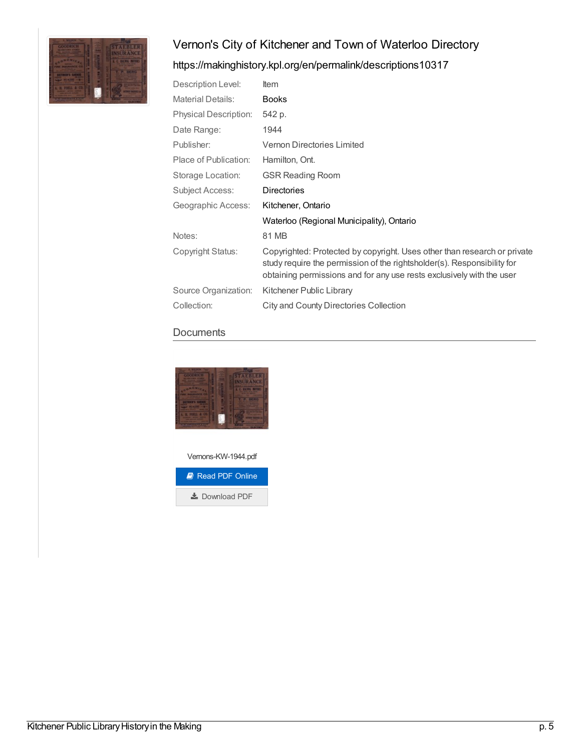

## <https://makinghistory.kpl.org/en/permalink/descriptions10317>

| Description Level:           | Item                                                                                                                                                                                                                         |
|------------------------------|------------------------------------------------------------------------------------------------------------------------------------------------------------------------------------------------------------------------------|
| <b>Material Details:</b>     | <b>Books</b>                                                                                                                                                                                                                 |
| <b>Physical Description:</b> | 542 p.                                                                                                                                                                                                                       |
| Date Range:                  | 1944                                                                                                                                                                                                                         |
| Publisher:                   | Vernon Directories Limited                                                                                                                                                                                                   |
| Place of Publication:        | Hamilton, Ont.                                                                                                                                                                                                               |
| Storage Location:            | <b>GSR Reading Room</b>                                                                                                                                                                                                      |
| Subject Access:              | <b>Directories</b>                                                                                                                                                                                                           |
| Geographic Access:           | Kitchener, Ontario                                                                                                                                                                                                           |
|                              | Waterloo (Regional Municipality), Ontario                                                                                                                                                                                    |
| Notes:                       | 81 MB                                                                                                                                                                                                                        |
| Copyright Status:            | Copyrighted: Protected by copyright. Uses other than research or private<br>study require the permission of the rightsholder(s). Responsibility for<br>obtaining permissions and for any use rests exclusively with the user |
| Source Organization:         | Kitchener Public Library                                                                                                                                                                                                     |
| Collection:                  | <b>City and County Directories Collection</b>                                                                                                                                                                                |

#### **Documents**



Vernons-KW-1944.pdf

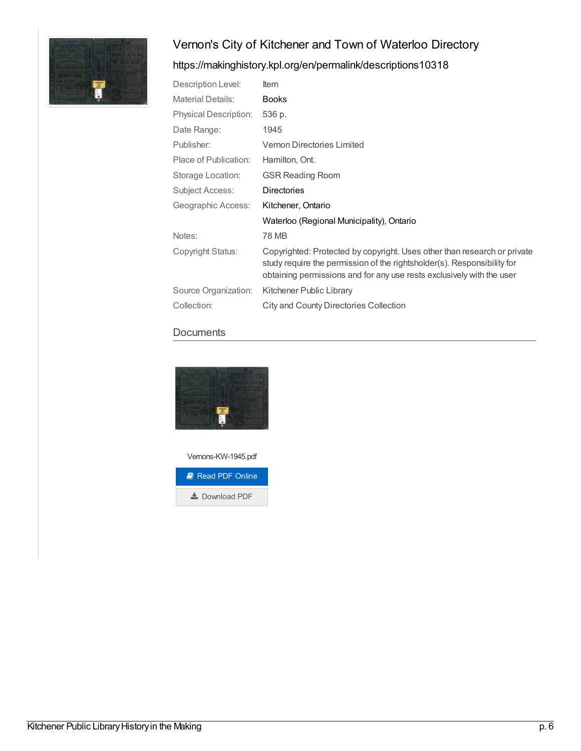

## <https://makinghistory.kpl.org/en/permalink/descriptions10318>

| Description Level:           | Item                                                                                                                                                                                                                         |
|------------------------------|------------------------------------------------------------------------------------------------------------------------------------------------------------------------------------------------------------------------------|
| <b>Material Details:</b>     | <b>Books</b>                                                                                                                                                                                                                 |
| <b>Physical Description:</b> | 536 p.                                                                                                                                                                                                                       |
| Date Range:                  | 1945                                                                                                                                                                                                                         |
| Publisher:                   | Vernon Directories Limited                                                                                                                                                                                                   |
| Place of Publication:        | Hamilton, Ont.                                                                                                                                                                                                               |
| Storage Location:            | <b>GSR Reading Room</b>                                                                                                                                                                                                      |
| <b>Subject Access:</b>       | <b>Directories</b>                                                                                                                                                                                                           |
| Geographic Access:           | Kitchener, Ontario                                                                                                                                                                                                           |
|                              | Waterloo (Regional Municipality), Ontario                                                                                                                                                                                    |
| Notes:                       | 78 MB                                                                                                                                                                                                                        |
| Copyright Status:            | Copyrighted: Protected by copyright. Uses other than research or private<br>study require the permission of the rightsholder(s). Responsibility for<br>obtaining permissions and for any use rests exclusively with the user |
| Source Organization:         | Kitchener Public Library                                                                                                                                                                                                     |
| Collection:                  | City and County Directories Collection                                                                                                                                                                                       |

#### **Documents**



Vernons-KW-1945.pdf

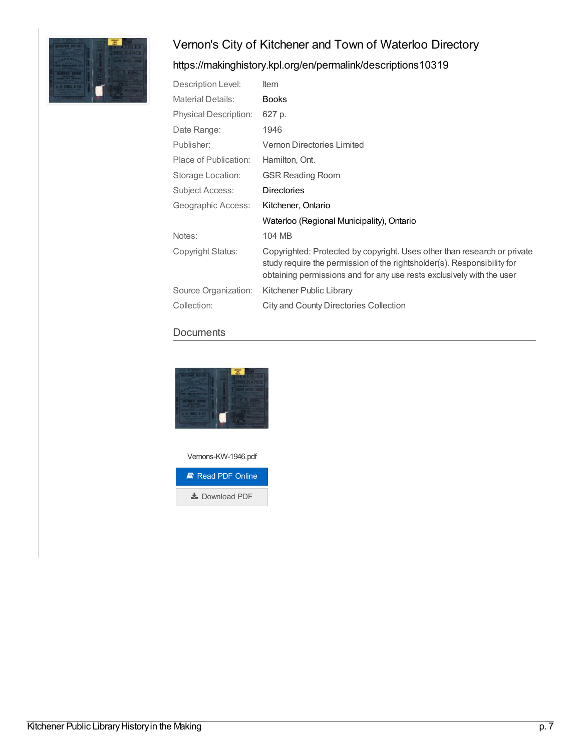

## <https://makinghistory.kpl.org/en/permalink/descriptions10319>

| Description Level:           | <b>Item</b>                                                                                                                                                                                                                  |
|------------------------------|------------------------------------------------------------------------------------------------------------------------------------------------------------------------------------------------------------------------------|
| <b>Material Details:</b>     | <b>Books</b>                                                                                                                                                                                                                 |
| <b>Physical Description:</b> | 627 p.                                                                                                                                                                                                                       |
| Date Range:                  | 1946                                                                                                                                                                                                                         |
| Publisher:                   | Vernon Directories Limited                                                                                                                                                                                                   |
| Place of Publication:        | Hamilton, Ont.                                                                                                                                                                                                               |
| Storage Location:            | <b>GSR Reading Room</b>                                                                                                                                                                                                      |
| Subject Access:              | <b>Directories</b>                                                                                                                                                                                                           |
| Geographic Access:           | Kitchener, Ontario                                                                                                                                                                                                           |
|                              | Waterloo (Regional Municipality), Ontario                                                                                                                                                                                    |
| Notes:                       | 104 MB                                                                                                                                                                                                                       |
| Copyright Status:            | Copyrighted: Protected by copyright. Uses other than research or private<br>study require the permission of the rightsholder(s). Responsibility for<br>obtaining permissions and for any use rests exclusively with the user |
| Source Organization:         | Kitchener Public Library                                                                                                                                                                                                     |
| Collection:                  | City and County Directories Collection                                                                                                                                                                                       |

#### **Documents**



Vernons-KW-1946.pdf

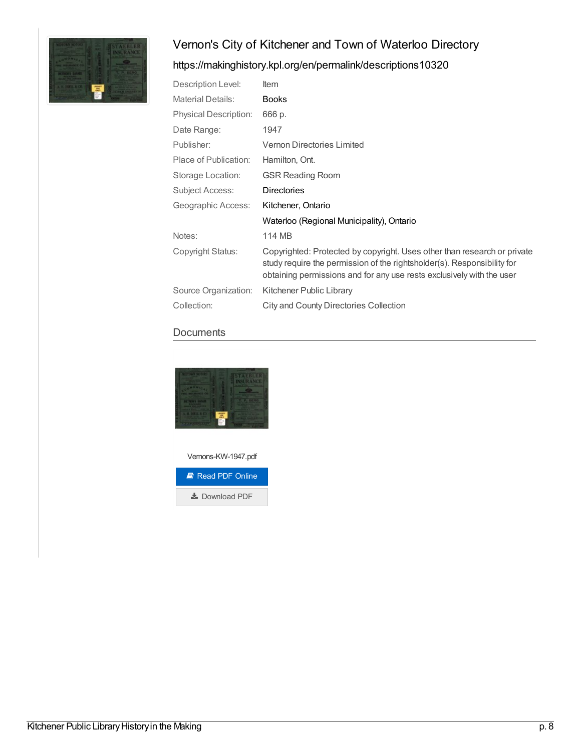

## <https://makinghistory.kpl.org/en/permalink/descriptions10320>

| Description Level:           | Item                                                                                                                                                                                                                         |
|------------------------------|------------------------------------------------------------------------------------------------------------------------------------------------------------------------------------------------------------------------------|
| <b>Material Details:</b>     | <b>Books</b>                                                                                                                                                                                                                 |
| <b>Physical Description:</b> | 666 p.                                                                                                                                                                                                                       |
| Date Range:                  | 1947                                                                                                                                                                                                                         |
| Publisher:                   | Vernon Directories Limited                                                                                                                                                                                                   |
| Place of Publication:        | Hamilton, Ont.                                                                                                                                                                                                               |
| Storage Location:            | <b>GSR Reading Room</b>                                                                                                                                                                                                      |
| <b>Subject Access:</b>       | <b>Directories</b>                                                                                                                                                                                                           |
| Geographic Access:           | Kitchener, Ontario                                                                                                                                                                                                           |
|                              | Waterloo (Regional Municipality), Ontario                                                                                                                                                                                    |
| Notes:                       | 114 MB                                                                                                                                                                                                                       |
| Copyright Status:            | Copyrighted: Protected by copyright. Uses other than research or private<br>study require the permission of the rightsholder(s). Responsibility for<br>obtaining permissions and for any use rests exclusively with the user |
| Source Organization:         | Kitchener Public Library                                                                                                                                                                                                     |
| Collection:                  | City and County Directories Collection                                                                                                                                                                                       |

#### **Documents**



Vernons-KW-1947.pdf

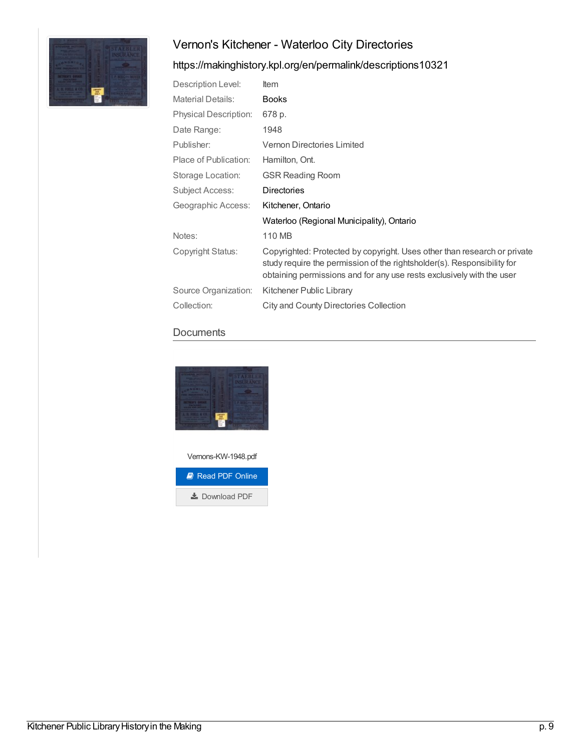# Vernon's Kitchener - Waterloo City Directories



## <https://makinghistory.kpl.org/en/permalink/descriptions10321>

| Description Level:           | <b>Item</b>                                                                                                                                                                                                                  |
|------------------------------|------------------------------------------------------------------------------------------------------------------------------------------------------------------------------------------------------------------------------|
| <b>Material Details:</b>     | <b>Books</b>                                                                                                                                                                                                                 |
| <b>Physical Description:</b> | 678 p.                                                                                                                                                                                                                       |
| Date Range:                  | 1948                                                                                                                                                                                                                         |
| Publisher:                   | Vernon Directories Limited                                                                                                                                                                                                   |
| Place of Publication:        | Hamilton, Ont.                                                                                                                                                                                                               |
| Storage Location:            | <b>GSR Reading Room</b>                                                                                                                                                                                                      |
| Subject Access:              | <b>Directories</b>                                                                                                                                                                                                           |
| Geographic Access:           | Kitchener, Ontario                                                                                                                                                                                                           |
|                              | Waterloo (Regional Municipality), Ontario                                                                                                                                                                                    |
| Notes:                       | 110 MB                                                                                                                                                                                                                       |
| Copyright Status:            | Copyrighted: Protected by copyright. Uses other than research or private<br>study require the permission of the rightsholder(s). Responsibility for<br>obtaining permissions and for any use rests exclusively with the user |
| Source Organization:         | Kitchener Public Library                                                                                                                                                                                                     |
| Collection:                  | <b>City and County Directories Collection</b>                                                                                                                                                                                |

#### **Documents**



Vernons-KW-1948.pdf